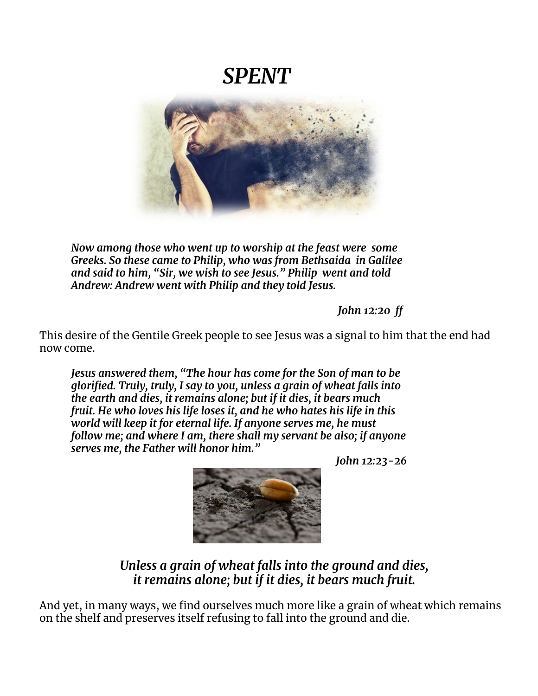# *SPENT*



*Now among those who went up to worship at the feast were some Greeks. So these came to Philip, who was from Bethsaida in Galilee and said to him, "Sir, we wish to see Jesus." Philip went and told Andrew: Andrew went with Philip and they told Jesus.*

*John 12:20 ff*

This desire of the Gentile Greek people to see Jesus was a signal to him that the end had now come.

*Jesus answered them, "The hour has come for the Son of man to be glorified. Truly, truly, I say to you, unless a grain of wheat falls into the earth and dies, it remains alone; but if it dies, it bears much fruit. He who loves his life loses it, and he who hates his life in this world will keep it for eternal life. If anyone serves me, he must follow me; and where I am, there shall my servant be also; if anyone serves me, the Father will honor him."*

*John 12:23-26*



*Unless a grain of wheat falls into the ground and dies, it remains alone; but if it dies, it bears much fruit.*

And yet, in many ways, we find ourselves much more like a grain of wheat which remains on the shelf and preserves itself refusing to fall into the ground and die.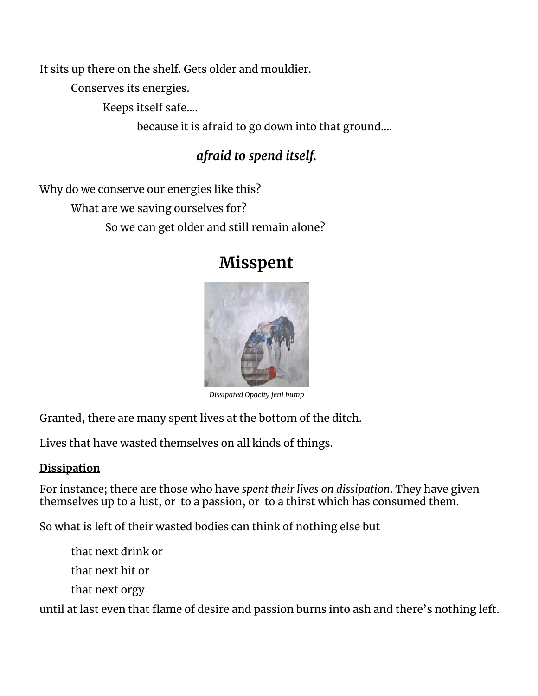It sits up there on the shelf. Gets older and mouldier.

Conserves its energies.

Keeps itself safe….

because it is afraid to go down into that ground….

# *afraid to spend itself.*

Why do we conserve our energies like this? What are we saving ourselves for? So we can get older and still remain alone?

# **Misspent**



*Dissipated Opacity jeni bump*

Granted, there are many spent lives at the bottom of the ditch.

Lives that have wasted themselves on all kinds of things.

## **Dissipation**

For instance; there are those who have *spent their lives on dissipation*. They have given themselves up to a lust, or to a passion, or to a thirst which has consumed them.

So what is left of their wasted bodies can think of nothing else but

that next drink or that next hit or

that next orgy

until at last even that flame of desire and passion burns into ash and there's nothing left.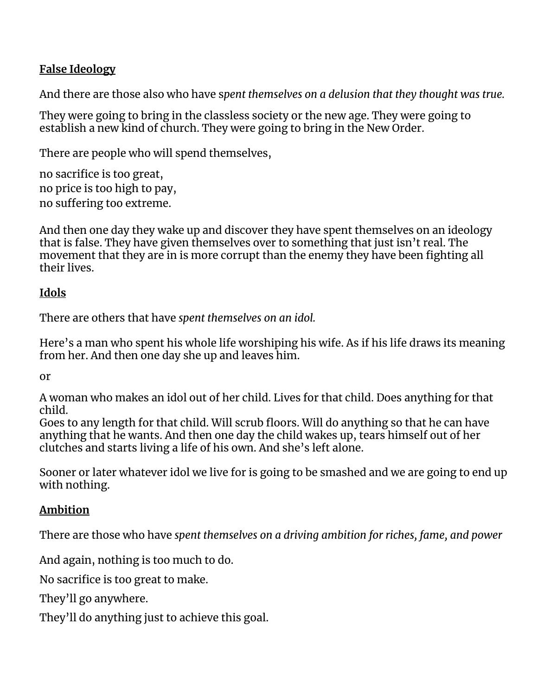### **False Ideology**

And there are those also who have s*pent themselves on a delusion that they thought was true.*

They were going to bring in the classless society or the new age. They were going to establish a new kind of church. They were going to bring in the New Order.

There are people who will spend themselves,

no sacrifice is too great, no price is too high to pay, no suffering too extreme.

And then one day they wake up and discover they have spent themselves on an ideology that is false. They have given themselves over to something that just isn't real. The movement that they are in is more corrupt than the enemy they have been fighting all their lives.

#### **Idols**

There are others that have *spent themselves on an idol.*

Here's a man who spent his whole life worshiping his wife. As if his life draws its meaning from her. And then one day she up and leaves him.

or

A woman who makes an idol out of her child. Lives for that child. Does anything for that child.

Goes to any length for that child. Will scrub floors. Will do anything so that he can have anything that he wants. And then one day the child wakes up, tears himself out of her clutches and starts living a life of his own. And she's left alone.

Sooner or later whatever idol we live for is going to be smashed and we are going to end up with nothing.

## **Ambition**

There are those who have *spent themselves on a driving ambition for riches, fame, and power*

And again, nothing is too much to do.

No sacrifice is too great to make.

They'll go anywhere.

They'll do anything just to achieve this goal.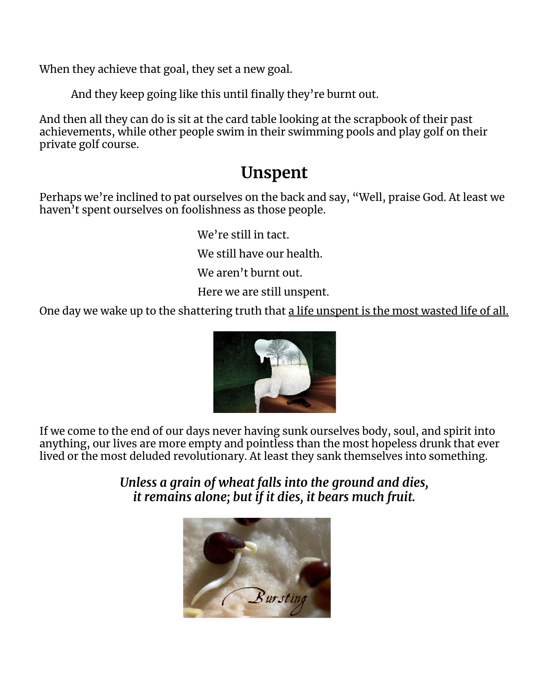When they achieve that goal, they set a new goal.

And they keep going like this until finally they're burnt out.

And then all they can do is sit at the card table looking at the scrapbook of their past achievements, while other people swim in their swimming pools and play golf on their private golf course.

# **Unspent**

Perhaps we're inclined to pat ourselves on the back and say, "Well, praise God. At least we haven<sup>'</sup>t spent ourselves on foolishness as those people.

We're still in tact.

We still have our health.

We aren't burnt out.

Here we are still unspent.

One day we wake up to the shattering truth that a life unspent is the most wasted life of all.



If we come to the end of our days never having sunk ourselves body, soul, and spirit into anything, our lives are more empty and pointless than the most hopeless drunk that ever lived or the most deluded revolutionary. At least they sank themselves into something.

> *Unless a grain of wheat falls into the ground and dies, it remains alone; but if it dies, it bears much fruit.*

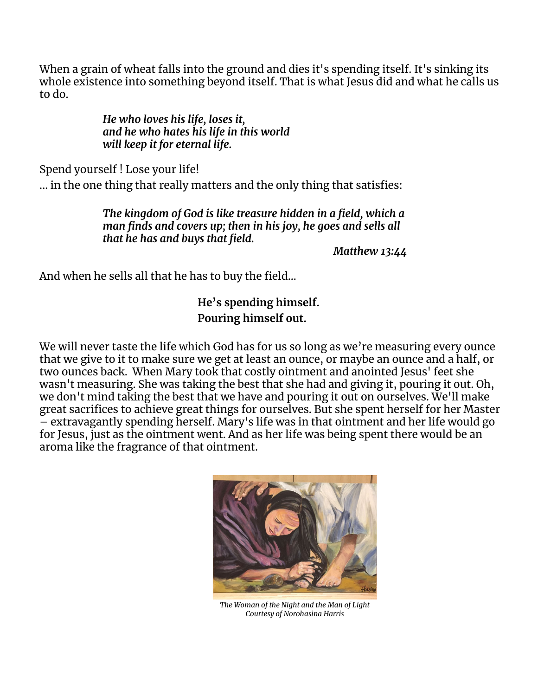When a grain of wheat falls into the ground and dies it's spending itself. It's sinking its whole existence into something beyond itself. That is what Jesus did and what he calls us to do.

> *He who loves his life, loses it, and he who hates his life in this world will keep it for eternal life.*

Spend yourself ! Lose your life!

... in the one thing that really matters and the only thing that satisfies:

*The kingdom of God is like treasure hidden in a field, which a man finds and covers up; then in his joy, he goes and sells all that he has and buys that field.*

*Matthew 13:44*

And when he sells all that he has to buy the field…

# **He's spending himself. Pouring himself out.**

We will never taste the life which God has for us so long as we're measuring every ounce that we give to it to make sure we get at least an ounce, or maybe an ounce and a half, or two ounces back. When Mary took that costly ointment and anointed Jesus' feet she wasn't measuring. She was taking the best that she had and giving it, pouring it out. Oh, we don't mind taking the best that we have and pouring it out on ourselves. We'll make great sacrifices to achieve great things for ourselves. But she spent herself for her Master  $-$  extravagantly spending herself. Mary's life was in that ointment and her life would go for Jesus, just as the ointment went. And as her life was being spent there would be an aroma like the fragrance of that ointment.



*The Woman of the Night and the Man of Light Courtesy of Norohasina Harris*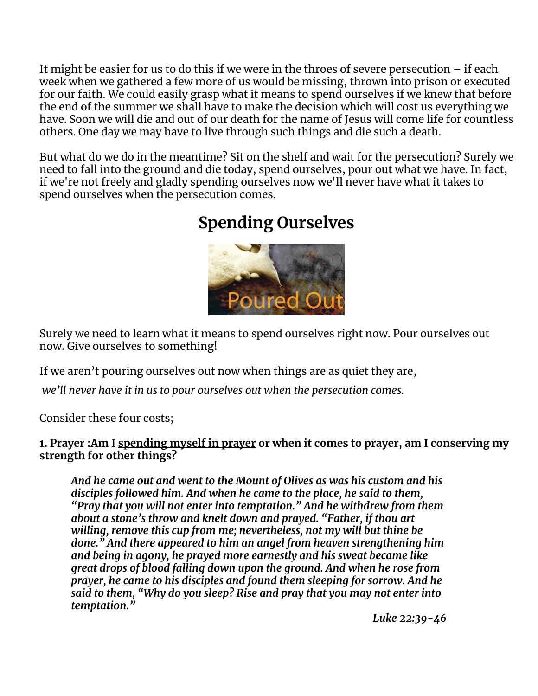It might be easier for us to do this if we were in the throes of severe persecution – if each week when we gathered a few more of us would be missing, thrown into prison or executed for our faith. We could easily grasp what it means to spend ourselves if we knew that before the end of the summer we shall have to make the decision which will cost us everything we have. Soon we will die and out of our death for the name of Jesus will come life for countless others. One day we may have to live through such things and die such a death.

But what do we do in the meantime? Sit on the shelf and wait for the persecution? Surely we need to fall into the ground and die today, spend ourselves, pour out what we have. In fact, if we're not freely and gladly spending ourselves now we'll never have what it takes to spend ourselves when the persecution comes.

# **Spending Ourselves**



Surely we need to learn what it means to spend ourselves right now. Pour ourselves out now. Give ourselves to something!

If we aren't pouring ourselves out now when things are as quiet they are,

*we'll never have it in us to pour ourselves out when the persecution comes.*

Consider these four costs;

#### **1. Prayer :Am I spending myself in prayer or when it comes to prayer, am I conserving my strength for other things?**

*And he came out and went to the Mount of Olives as was his custom and his disciples followed him. And when he came to the place, he said to them, "Pray that you will not enter into temptation." And he withdrew from them about a stone's throw and knelt down and prayed. "Father, if thou art willing, remove this cup from me; nevertheless, not my will but thine be done." And there appeared to him an angel from heaven strengthening him and being in agony, he prayed more earnestly and his sweat became like great drops of blood falling down upon the ground. And when he rose from prayer, he came to his disciples and found them sleeping for sorrow. And he said to them, "Why do you sleep? Rise and pray that you may not enter into temptation."*

*Luke 22:39-46*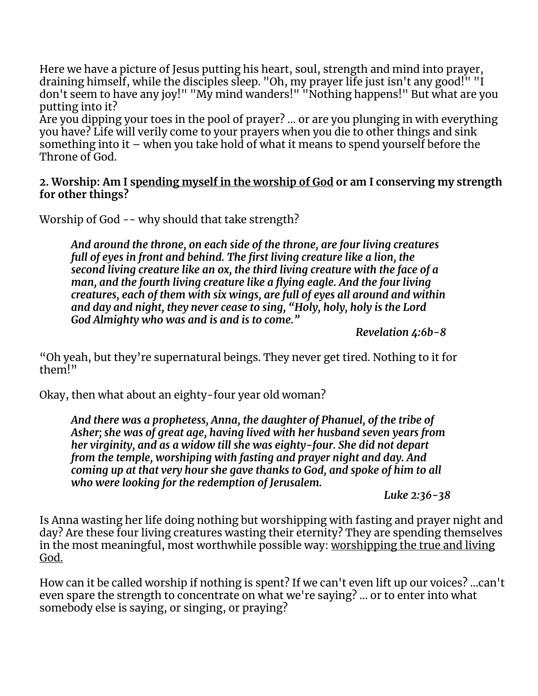Here we have a picture of Jesus putting his heart, soul, strength and mind into prayer, draining himself, while the disciples sleep. "Oh, my prayer life just isn't any good!" "I don't seem to have any joy!" "My mind wanders!" "Nothing happens!" But what are you putting into it?

Are you dipping your toes in the pool of prayer? ... or are you plunging in with everything you have? Life will verily come to your prayers when you die to other things and sink something into it – when you take hold of what it means to spend yourself before the Throne of God.

#### **2. Worship: Am I spending myself in the worship of God or am I conserving my strength for other things?**

Worship of God -- why should that take strength?

*And around the throne, on each side of the throne, are four living creatures full of eyes in front and behind. The first living creature like a lion, the second living creature like an ox, the third living creature with the face of a man, and the fourth living creature like a flying eagle. And the four living creatures, each of them with six wings, are full of eyes all around and within and day and night, they never cease to sing, "Holy, holy, holy is the Lord God Almighty who was and is and is to come."*

*Revelation 4:6b-8*

"Oh yeah, but they're supernatural beings. They never get tired. Nothing to it for them!"

Okay, then what about an eighty-four year old woman?

*And there was a prophetess, Anna, the daughter of Phanuel, of the tribe of Asher; she was of great age, having lived with her husband seven years from her virginity, and as a widow till she was eighty-four. She did not depart from the temple, worshiping with fasting and prayer night and day. And coming up at that very hour she gave thanks to God, and spoke of him to all who were looking for the redemption of Jerusalem.*

*Luke 2:36-38*

Is Anna wasting her life doing nothing but worshipping with fasting and prayer night and day? Are these four living creatures wasting their eternity? They are spending themselves in the most meaningful, most worthwhile possible way: worshipping the true and living God.

How can it be called worship if nothing is spent? If we can't even lift up our voices? ...can't even spare the strength to concentrate on what we're saying? ... or to enter into what somebody else is saying, or singing, or praying?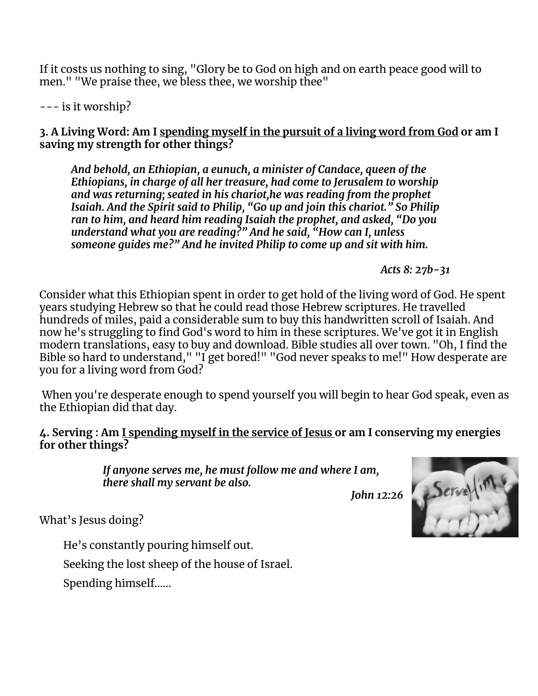If it costs us nothing to sing, "Glory be to God on high and on earth peace good will to men." "We praise thee, we bless thee, we worship thee"

--- is it worship?

3. A Living Word: Am I spending myself in the pursuit of a living word from God or am I **saving my strength for other things?**

*And behold, an Ethiopian, a eunuch, a minister of Candace, queen of the Ethiopians, in charge of all her treasure, had come to Jerusalem to worship and was returning; seated in his chariot,he was reading from the prophet Isaiah. And the Spirit said to Philip, "Go up and join this chariot." So Philip ran to him, and heard him reading Isaiah the prophet, and asked, "Do you understand what you are reading?" And he said, "How can I, unless someone guides me?" And he invited Philip to come up and sit with him.*

*Acts 8: 27b-31*

Consider what this Ethiopian spent in order to get hold of the living word of God. He spent years studying Hebrew so that he could read those Hebrew scriptures. He travelled hundreds of miles, paid a considerable sum to buy this handwritten scroll of Isaiah. And now he's struggling to find God's word to him in these scriptures. We've got it in English modern translations, easy to buy and download. Bible studies all over town. "Oh, I find the Bible so hard to understand," "I get bored!" "God never speaks to me!" How desperate are you for a living word from God?

When you're desperate enough to spend yourself you will begin to hear God speak, even as the Ethiopian did that day.

#### **4. Serving : Am I spending myself in the service of Jesus or am I conserving my energies for other things?**

*If anyone serves me, he must follow me and where I am, there shall my servant be also.*

*John 12:26*



What's Jesus doing?

He's constantly pouring himself out.

Seeking the lost sheep of the house of Israel.

Spending himself……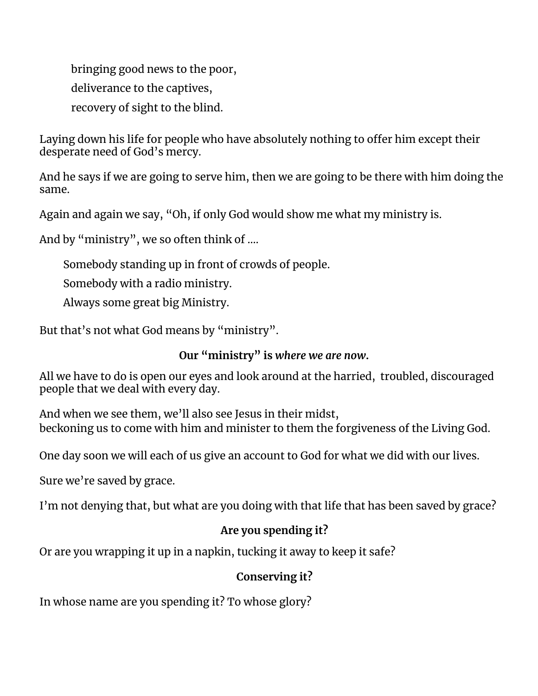bringing good news to the poor, deliverance to the captives, recovery of sight to the blind.

Laying down his life for people who have absolutely nothing to offer him except their desperate need of God's mercy.

And he says if we are going to serve him, then we are going to be there with him doing the same.

Again and again we say, "Oh, if only God would show me what my ministry is.

And by "ministry", we so often think of ....

Somebody standing up in front of crowds of people.

Somebody with a radio ministry.

Always some great big Ministry.

But that's not what God means by "ministry".

### **Our "ministry" is** *where we are now***.**

All we have to do is open our eyes and look around at the harried, troubled, discouraged people that we deal with every day.

And when we see them, we'll also see Jesus in their midst, beckoning us to come with him and minister to them the forgiveness of the Living God.

One day soon we will each of us give an account to God for what we did with our lives.

Sure we're saved by grace.

I'm not denying that, but what are you doing with that life that has been saved by grace?

## **Are you spending it?**

Or are you wrapping it up in a napkin, tucking it away to keep it safe?

## **Conserving it?**

In whose name are you spending it? To whose glory?